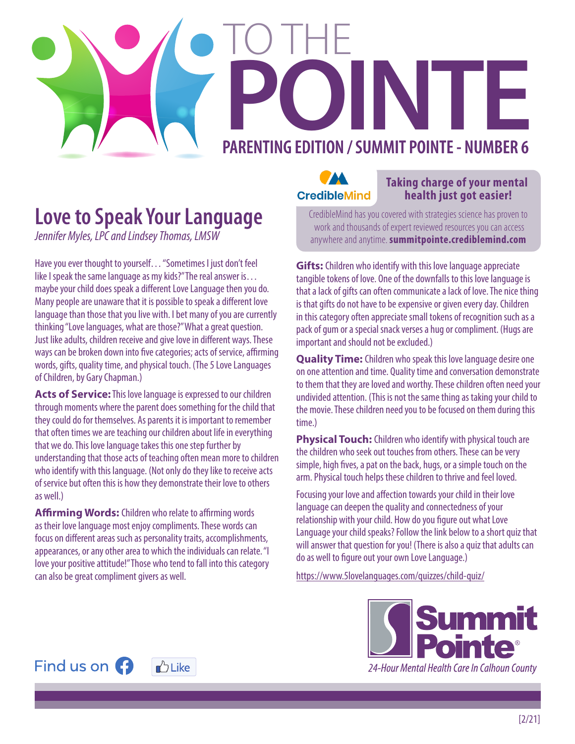## PARENTING EDITION / SUMMIT POINTE - NUMBER 6 TO THE

#### **Love to Speak Your Language**

*Jennifer Myles, LPC and Lindsey Thomas, LMSW*

Have you ever thought to yourself… "Sometimes I just don't feel like I speak the same language as my kids?" The real answer is… maybe your child does speak a different Love Language then you do. Many people are unaware that it is possible to speak a different love language than those that you live with. I bet many of you are currently thinking "Love languages, what are those?" What a great question. Just like adults, children receive and give love in different ways. These ways can be broken down into five categories; acts of service, affirming words, gifts, quality time, and physical touch. (The 5 Love Languages of Children, by Gary Chapman.)

**Acts of Service:** This love language is expressed to our children through moments where the parent does something for the child that they could do for themselves. As parents it is important to remember that often times we are teaching our children about life in everything that we do. This love language takes this one step further by understanding that those acts of teaching often mean more to children who identify with this language. (Not only do they like to receive acts of service but often this is how they demonstrate their love to others as well.)

**Affirming Words:** Children who relate to affirming words as their love language most enjoy compliments. These words can focus on different areas such as personality traits, accomplishments, appearances, or any other area to which the individuals can relate. "I love your positive attitude!" Those who tend to fall into this category can also be great compliment givers as well.



#### **Taking charge of your mental**<br>**CredibleMind** health just got easier!  **health just got easier!**

CredibleMind has you covered with strategies science has proven to work and thousands of expert reviewed resources you can access anywhere and anytime. **summitpointe.crediblemind.com**

**Gifts:** Children who identify with this love language appreciate tangible tokens of love. One of the downfalls to this love language is that a lack of gifts can often communicate a lack of love. The nice thing is that gifts do not have to be expensive or given every day. Children in this category often appreciate small tokens of recognition such as a pack of gum or a special snack verses a hug or compliment. (Hugs are important and should not be excluded.)

**Quality Time:** Children who speak this love language desire one on one attention and time. Quality time and conversation demonstrate to them that they are loved and worthy. These children often need your undivided attention. (This is not the same thing as taking your child to the movie. These children need you to be focused on them during this time.)

**Physical Touch:** Children who identify with physical touch are the children who seek out touches from others. These can be very simple, high fives, a pat on the back, hugs, or a simple touch on the arm. Physical touch helps these children to thrive and feel loved.

Focusing your love and affection towards your child in their love language can deepen the quality and connectedness of your relationship with your child. How do you figure out what Love Language your child speaks? Follow the link below to a short quiz that will answer that question for you! (There is also a quiz that adults can do as well to figure out your own Love Language.)

https://www.5lovelanguages.com/quizzes/child-quiz/